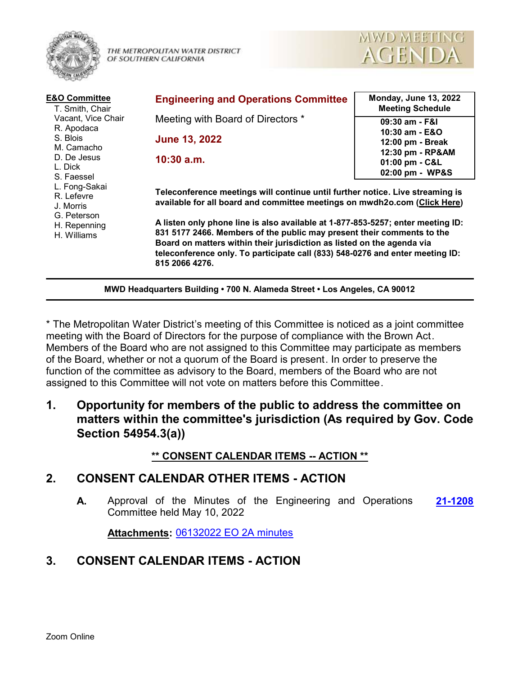

THE METROPOLITAN WATER DISTRICT OF SOUTHERN CALIFORNIA



| <b>E&amp;O Committee</b><br>T. Smith, Chair<br>Vacant, Vice Chair<br>R. Apodaca<br>S. Blois<br>M. Camacho<br>D. De Jesus<br>L. Dick<br>S. Faessel<br>L. Fong-Sakai<br>R. Lefevre<br>J. Morris<br>G. Peterson<br>H. Repenning<br>H. Williams | <b>Engineering and Operations Committee</b>                                                                                                                                                                                                                                                                                                                                                                                                                                                          | <b>Monday, June 13, 2022</b><br><b>Meeting Schedule</b> |
|---------------------------------------------------------------------------------------------------------------------------------------------------------------------------------------------------------------------------------------------|------------------------------------------------------------------------------------------------------------------------------------------------------------------------------------------------------------------------------------------------------------------------------------------------------------------------------------------------------------------------------------------------------------------------------------------------------------------------------------------------------|---------------------------------------------------------|
|                                                                                                                                                                                                                                             | Meeting with Board of Directors *                                                                                                                                                                                                                                                                                                                                                                                                                                                                    | 09:30 am - F&I                                          |
|                                                                                                                                                                                                                                             | <b>June 13, 2022</b>                                                                                                                                                                                                                                                                                                                                                                                                                                                                                 | 10:30 am - E&O<br>12:00 pm - Break                      |
|                                                                                                                                                                                                                                             | $10:30$ a.m.                                                                                                                                                                                                                                                                                                                                                                                                                                                                                         | 12:30 pm - RP&AM                                        |
|                                                                                                                                                                                                                                             |                                                                                                                                                                                                                                                                                                                                                                                                                                                                                                      | 01:00 pm - C&L<br>02:00 pm - WP&S                       |
|                                                                                                                                                                                                                                             | Teleconference meetings will continue until further notice. Live streaming is<br>available for all board and committee meetings on mwdh2o.com (Click Here)<br>A listen only phone line is also available at 1-877-853-5257; enter meeting ID:<br>831 5177 2466. Members of the public may present their comments to the<br>Board on matters within their jurisdiction as listed on the agenda via<br>teleconference only. To participate call (833) 548-0276 and enter meeting ID:<br>815 2066 4276. |                                                         |

**MWD Headquarters Building • 700 N. Alameda Street • Los Angeles, CA 90012**

\* The Metropolitan Water District's meeting of this Committee is noticed as a joint committee meeting with the Board of Directors for the purpose of compliance with the Brown Act. Members of the Board who are not assigned to this Committee may participate as members of the Board, whether or not a quorum of the Board is present. In order to preserve the function of the committee as advisory to the Board, members of the Board who are not assigned to this Committee will not vote on matters before this Committee.

**1. Opportunity for members of the public to address the committee on matters within the committee's jurisdiction (As required by Gov. Code Section 54954.3(a))**

#### **\*\* CONSENT CALENDAR ITEMS -- ACTION \*\***

#### **2. CONSENT CALENDAR OTHER ITEMS - ACTION**

**A.** Approval of the Minutes of the Engineering and Operations **[21-1208](http://mwdh2o.legistar.com/gateway.aspx?m=l&id=/matter.aspx?key=2300)** Committee held May 10, 2022

**Attachments:** [06132022 EO 2A minutes](http://mwdh2o.legistar.com/gateway.aspx?M=F&ID=bad8b6fd-511c-45f8-bb31-000e54dc9075.pdf)

# **3. CONSENT CALENDAR ITEMS - ACTION**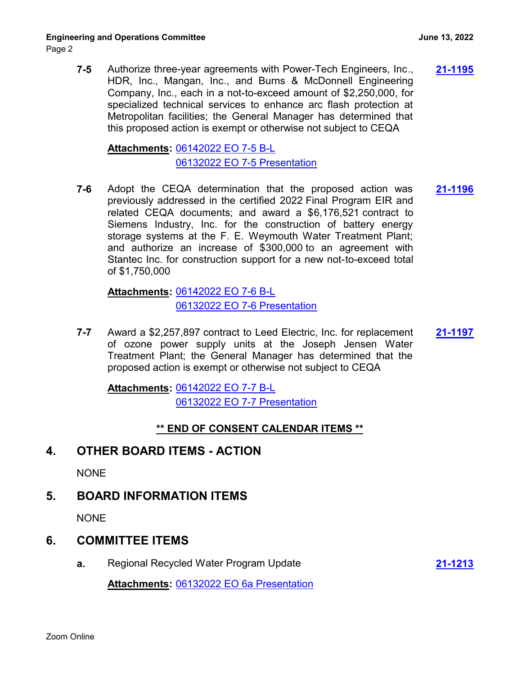**7-5** Authorize three-year agreements with Power-Tech Engineers, Inc., **[21-1195](http://mwdh2o.legistar.com/gateway.aspx?m=l&id=/matter.aspx?key=2287)** HDR, Inc., Mangan, Inc., and Burns & McDonnell Engineering Company, Inc., each in a not-to-exceed amount of \$2,250,000, for specialized technical services to enhance arc flash protection at Metropolitan facilities; the General Manager has determined that this proposed action is exempt or otherwise not subject to CEQA

[06142022 EO 7-5 B-L](http://mwdh2o.legistar.com/gateway.aspx?M=F&ID=42f448df-43bd-4891-93f1-ecce1a3e7185.pdf) **Attachments:** [06132022 EO 7-5 Presentation](http://mwdh2o.legistar.com/gateway.aspx?M=F&ID=e3a10c91-0b3a-4b68-a20b-f90e402ce4af.pdf)

**7-6** Adopt the CEQA determination that the proposed action was **[21-1196](http://mwdh2o.legistar.com/gateway.aspx?m=l&id=/matter.aspx?key=2288)** previously addressed in the certified 2022 Final Program EIR and related CEQA documents; and award a \$6,176,521 contract to Siemens Industry, Inc. for the construction of battery energy storage systems at the F. E. Weymouth Water Treatment Plant; and authorize an increase of \$300,000 to an agreement with Stantec Inc. for construction support for a new not-to-exceed total of \$1,750,000

[06142022 EO 7-6 B-L](http://mwdh2o.legistar.com/gateway.aspx?M=F&ID=e07fe239-d859-4ce4-ada4-72f09bb37b37.pdf) **Attachments:** [06132022 EO 7-6 Presentation](http://mwdh2o.legistar.com/gateway.aspx?M=F&ID=0ae6e050-1758-4984-814f-832650d77267.pdf)

**7-7** Award a \$2,257,897 contract to Leed Electric, Inc. for replacement **[21-1197](http://mwdh2o.legistar.com/gateway.aspx?m=l&id=/matter.aspx?key=2289)** of ozone power supply units at the Joseph Jensen Water Treatment Plant; the General Manager has determined that the proposed action is exempt or otherwise not subject to CEQA

[06142022 EO 7-7 B-L](http://mwdh2o.legistar.com/gateway.aspx?M=F&ID=8755da10-44d1-449d-b730-00be847110c4.pdf) **Attachments:** [06132022 EO 7-7 Presentation](http://mwdh2o.legistar.com/gateway.aspx?M=F&ID=d999a389-2396-479e-98e8-b80c025940d5.pdf)

#### **\*\* END OF CONSENT CALENDAR ITEMS \*\***

# **4. OTHER BOARD ITEMS - ACTION**

**NONE** 

# **5. BOARD INFORMATION ITEMS**

**NONE** 

# **6. COMMITTEE ITEMS**

**a.** Regional Recycled Water Program Update **[21-1213](http://mwdh2o.legistar.com/gateway.aspx?m=l&id=/matter.aspx?key=2305)**

**Attachments:** [06132022 EO 6a Presentation](http://mwdh2o.legistar.com/gateway.aspx?M=F&ID=cd64a181-4409-4116-8ef7-cebfdb8ba385.pdf)